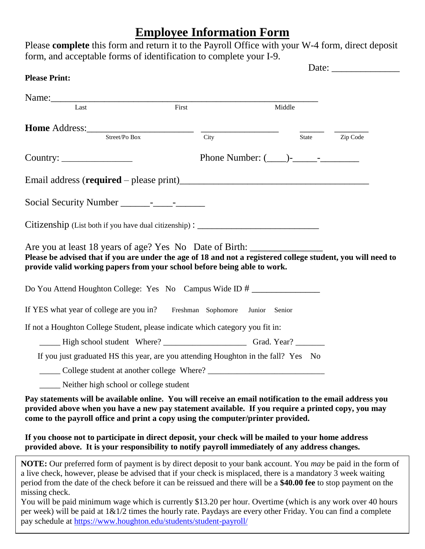## **Employee Information Form**

| Name: Last First                                                                                                                                                                                                                                                                                                                         |                                                                                                    |                |
|------------------------------------------------------------------------------------------------------------------------------------------------------------------------------------------------------------------------------------------------------------------------------------------------------------------------------------------|----------------------------------------------------------------------------------------------------|----------------|
|                                                                                                                                                                                                                                                                                                                                          |                                                                                                    |                |
|                                                                                                                                                                                                                                                                                                                                          | Middle                                                                                             |                |
| <b>Home</b> Address: $\frac{\text{Street/Po Box}}{\text{Street/Po Box}}$ $\frac{}{\text{City}}$                                                                                                                                                                                                                                          |                                                                                                    | State Zip Code |
|                                                                                                                                                                                                                                                                                                                                          |                                                                                                    |                |
|                                                                                                                                                                                                                                                                                                                                          | Phone Number: $(\_\_\_\$ - $\_\_\_\_$ -                                                            |                |
|                                                                                                                                                                                                                                                                                                                                          |                                                                                                    |                |
|                                                                                                                                                                                                                                                                                                                                          |                                                                                                    |                |
| Citizenship (List both if you have dual citizenship): __________________________                                                                                                                                                                                                                                                         |                                                                                                    |                |
| Are you at least 18 years of age? Yes No Date of Birth: _________________________<br>Please be advised that if you are under the age of 18 and not a registered college student, you will need to<br>provide valid working papers from your school before being able to work.<br>Do You Attend Houghton College: Yes No Campus Wide ID # |                                                                                                    |                |
| If YES what year of college are you in? Freshman Sophomore Junior Senior                                                                                                                                                                                                                                                                 |                                                                                                    |                |
| If not a Houghton College Student, please indicate which category you fit in:                                                                                                                                                                                                                                                            |                                                                                                    |                |
|                                                                                                                                                                                                                                                                                                                                          |                                                                                                    |                |
| If you just graduated HS this year, are you attending Houghton in the fall? Yes No                                                                                                                                                                                                                                                       |                                                                                                    |                |
|                                                                                                                                                                                                                                                                                                                                          |                                                                                                    |                |
| Neither high school or college student                                                                                                                                                                                                                                                                                                   |                                                                                                    |                |
| Pay statements will be available online. You will receive an email notification to the email address you<br>provided above when you have a new pay statement available. If you require a printed copy, you may<br>come to the payroll office and print a copy using the computer/printer provided.                                       | If you choose not to participate in direct deposit, your check will be mailed to your home address |                |

You will be paid minimum wage which is currently \$13.20 per hour. Overtime (which is any work over 40 hours per week) will be paid at 1&1/2 times the hourly rate. Paydays are every other Friday. You can find a complete pay schedule at<https://www.houghton.edu/students/student-payroll/>